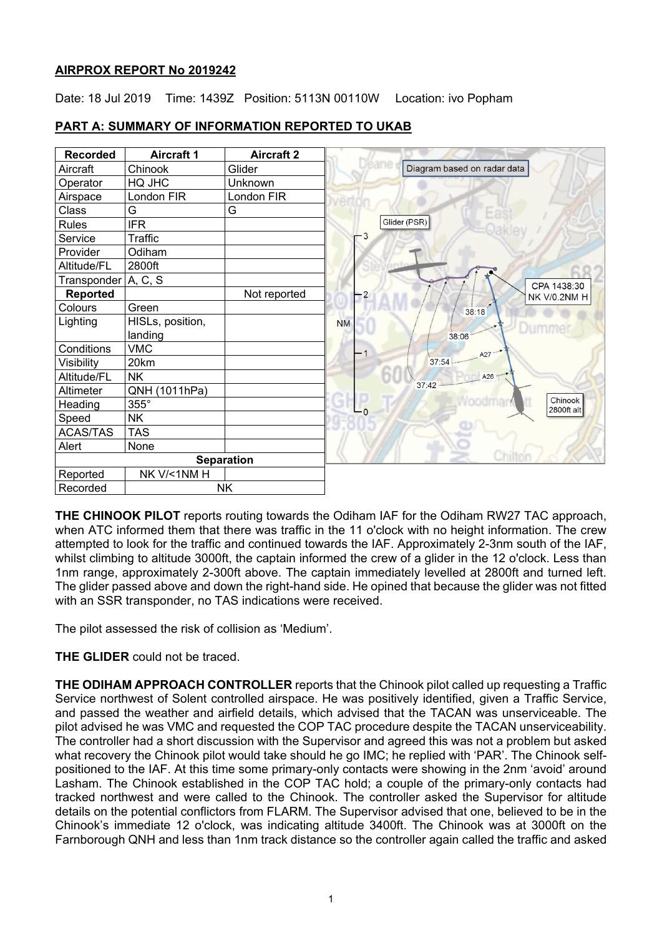## **AIRPROX REPORT No 2019242**

Date: 18 Jul 2019 Time: 1439Z Position: 5113N 00110W Location: ivo Popham

| <b>Recorded</b>     | <b>Aircraft 1</b> | <b>Aircraft 2</b> |                           |                             |
|---------------------|-------------------|-------------------|---------------------------|-----------------------------|
| Aircraft            | Chinook           | Glider            |                           | Diagram based on radar data |
| Operator            | HQ JHC            | Unknown           |                           |                             |
| Airspace            | London FIR        | London FIR        |                           |                             |
| Class               | G                 | G                 |                           |                             |
| <b>Rules</b>        | <b>IFR</b>        |                   |                           | Glider (PSR)                |
| Service             | Traffic           |                   | -3                        |                             |
| Provider            | Odiham            |                   |                           |                             |
| Altitude/FL         | 2800ft            |                   |                           |                             |
| Transponder A, C, S |                   |                   |                           |                             |
| Reported            |                   | Not reported      | $-2$                      |                             |
| Colours             | Green             |                   |                           | 38:18                       |
| Lighting            | HISLs, position,  |                   | <b>NM</b>                 |                             |
|                     | landing           |                   |                           | 38:06                       |
| Conditions          | <b>VMC</b>        |                   | $\mathbf{1}$              | A27                         |
| Visibility          | 20km              |                   |                           | 37:54                       |
| Altitude/FL         | <b>NK</b>         |                   |                           | A26<br>37:42                |
| Altimeter           | QNH (1011hPa)     |                   |                           |                             |
| Heading             | 355°              |                   | $\mathsf{L}_{\mathsf{o}}$ |                             |
| Speed               | <b>NK</b>         |                   |                           |                             |
| <b>ACAS/TAS</b>     | <b>TAS</b>        |                   |                           |                             |
| Alert               | None              |                   |                           |                             |
|                     |                   | <b>Separation</b> |                           | Chiltoi                     |
| Reported            | NK V/<1NM H       |                   |                           |                             |
| Recorded            |                   | <b>NK</b>         |                           |                             |

# **PART A: SUMMARY OF INFORMATION REPORTED TO UKAB**

**THE CHINOOK PILOT** reports routing towards the Odiham IAF for the Odiham RW27 TAC approach, when ATC informed them that there was traffic in the 11 o'clock with no height information. The crew attempted to look for the traffic and continued towards the IAF. Approximately 2-3nm south of the IAF, whilst climbing to altitude 3000ft, the captain informed the crew of a glider in the 12 o'clock. Less than 1nm range, approximately 2-300ft above. The captain immediately levelled at 2800ft and turned left. The glider passed above and down the right-hand side. He opined that because the glider was not fitted with an SSR transponder, no TAS indications were received.

The pilot assessed the risk of collision as 'Medium'.

## **THE GLIDER** could not be traced.

**THE ODIHAM APPROACH CONTROLLER** reports that the Chinook pilot called up requesting a Traffic Service northwest of Solent controlled airspace. He was positively identified, given a Traffic Service, and passed the weather and airfield details, which advised that the TACAN was unserviceable. The pilot advised he was VMC and requested the COP TAC procedure despite the TACAN unserviceability. The controller had a short discussion with the Supervisor and agreed this was not a problem but asked what recovery the Chinook pilot would take should he go IMC; he replied with 'PAR'. The Chinook selfpositioned to the IAF. At this time some primary-only contacts were showing in the 2nm 'avoid' around Lasham. The Chinook established in the COP TAC hold; a couple of the primary-only contacts had tracked northwest and were called to the Chinook. The controller asked the Supervisor for altitude details on the potential conflictors from FLARM. The Supervisor advised that one, believed to be in the Chinook's immediate 12 o'clock, was indicating altitude 3400ft. The Chinook was at 3000ft on the Farnborough QNH and less than 1nm track distance so the controller again called the traffic and asked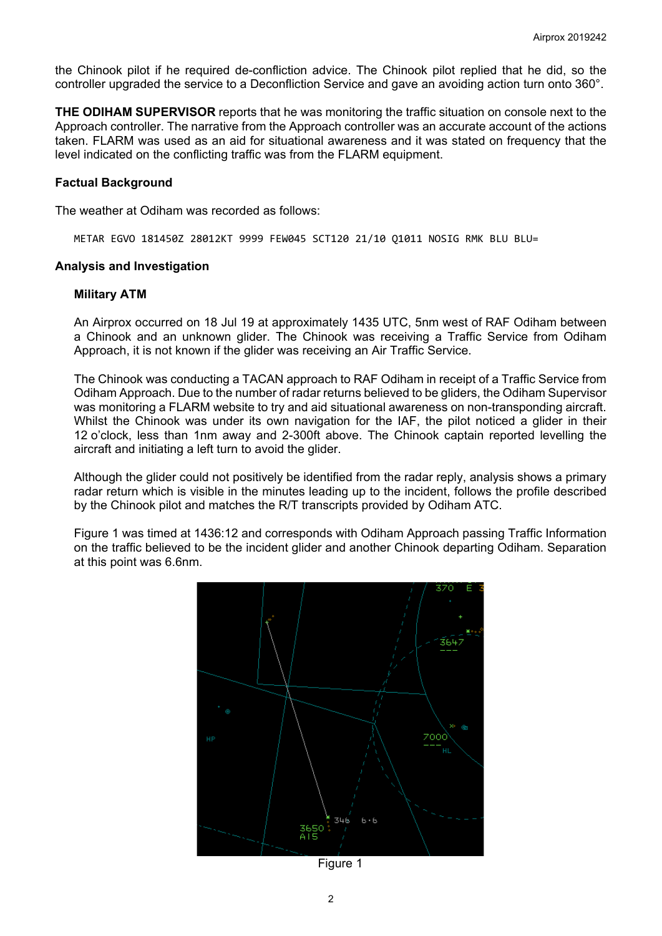the Chinook pilot if he required de-confliction advice. The Chinook pilot replied that he did, so the controller upgraded the service to a Deconfliction Service and gave an avoiding action turn onto 360°.

**THE ODIHAM SUPERVISOR** reports that he was monitoring the traffic situation on console next to the Approach controller. The narrative from the Approach controller was an accurate account of the actions taken. FLARM was used as an aid for situational awareness and it was stated on frequency that the level indicated on the conflicting traffic was from the FLARM equipment.

#### **Factual Background**

The weather at Odiham was recorded as follows:

METAR EGVO 181450Z 28012KT 9999 FEW045 SCT120 21/10 Q1011 NOSIG RMK BLU BLU=

#### **Analysis and Investigation**

#### **Military ATM**

An Airprox occurred on 18 Jul 19 at approximately 1435 UTC, 5nm west of RAF Odiham between a Chinook and an unknown glider. The Chinook was receiving a Traffic Service from Odiham Approach, it is not known if the glider was receiving an Air Traffic Service.

The Chinook was conducting a TACAN approach to RAF Odiham in receipt of a Traffic Service from Odiham Approach. Due to the number of radar returns believed to be gliders, the Odiham Supervisor was monitoring a FLARM website to try and aid situational awareness on non-transponding aircraft. Whilst the Chinook was under its own navigation for the IAF, the pilot noticed a glider in their 12 o'clock, less than 1nm away and 2-300ft above. The Chinook captain reported levelling the aircraft and initiating a left turn to avoid the glider.

Although the glider could not positively be identified from the radar reply, analysis shows a primary radar return which is visible in the minutes leading up to the incident, follows the profile described by the Chinook pilot and matches the R/T transcripts provided by Odiham ATC.

Figure 1 was timed at 1436:12 and corresponds with Odiham Approach passing Traffic Information on the traffic believed to be the incident glider and another Chinook departing Odiham. Separation at this point was 6.6nm.



Figure 1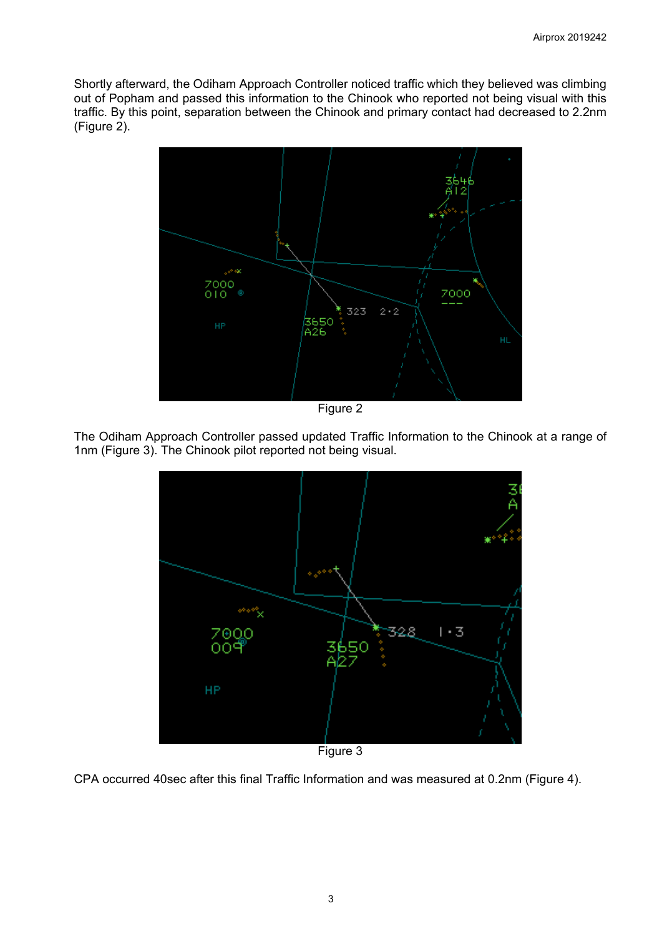Shortly afterward, the Odiham Approach Controller noticed traffic which they believed was climbing out of Popham and passed this information to the Chinook who reported not being visual with this traffic. By this point, separation between the Chinook and primary contact had decreased to 2.2nm (Figure 2).



Figure 2

The Odiham Approach Controller passed updated Traffic Information to the Chinook at a range of 1nm (Figure 3). The Chinook pilot reported not being visual.



Figure 3

CPA occurred 40sec after this final Traffic Information and was measured at 0.2nm (Figure 4).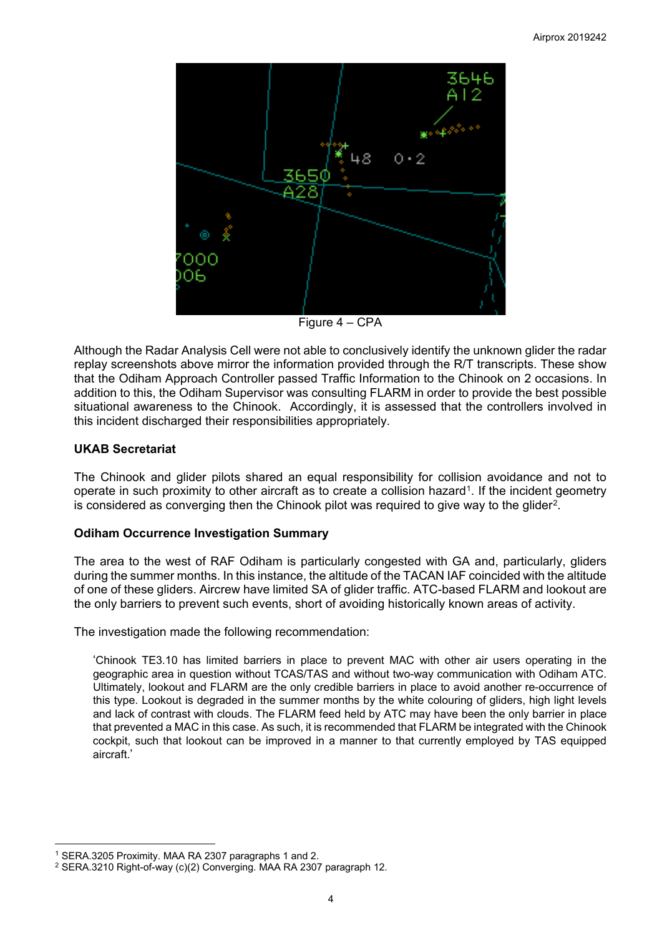

Figure 4 – CPA

Although the Radar Analysis Cell were not able to conclusively identify the unknown glider the radar replay screenshots above mirror the information provided through the R/T transcripts. These show that the Odiham Approach Controller passed Traffic Information to the Chinook on 2 occasions. In addition to this, the Odiham Supervisor was consulting FLARM in order to provide the best possible situational awareness to the Chinook. Accordingly, it is assessed that the controllers involved in this incident discharged their responsibilities appropriately.

# **UKAB Secretariat**

The Chinook and glider pilots shared an equal responsibility for collision avoidance and not to operate in such proximity to other aircraft as to create a collision hazard<sup>1</sup>. If the incident geometry is considered as converging then the Chinook pilot was required to give way to the glider<sup>[2](#page-3-1)</sup>.

## **Odiham Occurrence Investigation Summary**

The area to the west of RAF Odiham is particularly congested with GA and, particularly, gliders during the summer months. In this instance, the altitude of the TACAN IAF coincided with the altitude of one of these gliders. Aircrew have limited SA of glider traffic. ATC-based FLARM and lookout are the only barriers to prevent such events, short of avoiding historically known areas of activity.

The investigation made the following recommendation:

'Chinook TE3.10 has limited barriers in place to prevent MAC with other air users operating in the geographic area in question without TCAS/TAS and without two-way communication with Odiham ATC. Ultimately, lookout and FLARM are the only credible barriers in place to avoid another re-occurrence of this type. Lookout is degraded in the summer months by the white colouring of gliders, high light levels and lack of contrast with clouds. The FLARM feed held by ATC may have been the only barrier in place that prevented a MAC in this case. As such, it is recommended that FLARM be integrated with the Chinook cockpit, such that lookout can be improved in a manner to that currently employed by TAS equipped aircraft.'

 $\overline{\phantom{a}}$ <sup>1</sup> SERA.3205 Proximity. MAA RA 2307 paragraphs 1 and 2.

<span id="page-3-1"></span><span id="page-3-0"></span><sup>2</sup> SERA.3210 Right-of-way (c)(2) Converging. MAA RA 2307 paragraph 12.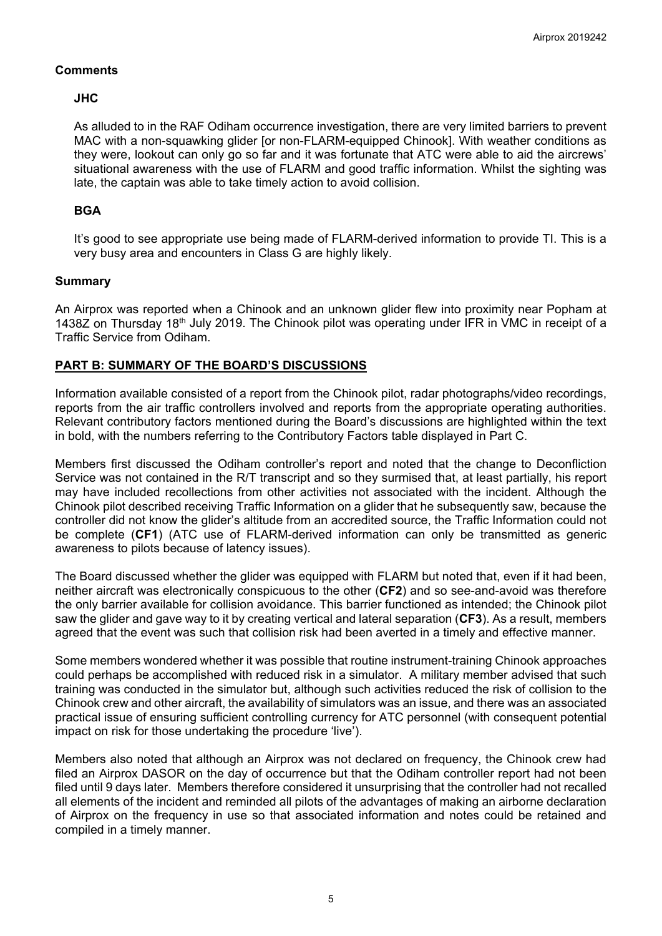## **Comments**

# **JHC**

As alluded to in the RAF Odiham occurrence investigation, there are very limited barriers to prevent MAC with a non-squawking glider [or non-FLARM-equipped Chinook]. With weather conditions as they were, lookout can only go so far and it was fortunate that ATC were able to aid the aircrews' situational awareness with the use of FLARM and good traffic information. Whilst the sighting was late, the captain was able to take timely action to avoid collision.

# **BGA**

It's good to see appropriate use being made of FLARM-derived information to provide TI. This is a very busy area and encounters in Class G are highly likely.

## **Summary**

An Airprox was reported when a Chinook and an unknown glider flew into proximity near Popham at 1438Z on Thursday 18<sup>th</sup> July 2019. The Chinook pilot was operating under IFR in VMC in receipt of a Traffic Service from Odiham.

# **PART B: SUMMARY OF THE BOARD'S DISCUSSIONS**

Information available consisted of a report from the Chinook pilot, radar photographs/video recordings, reports from the air traffic controllers involved and reports from the appropriate operating authorities. Relevant contributory factors mentioned during the Board's discussions are highlighted within the text in bold, with the numbers referring to the Contributory Factors table displayed in Part C.

Members first discussed the Odiham controller's report and noted that the change to Deconfliction Service was not contained in the R/T transcript and so they surmised that, at least partially, his report may have included recollections from other activities not associated with the incident. Although the Chinook pilot described receiving Traffic Information on a glider that he subsequently saw, because the controller did not know the glider's altitude from an accredited source, the Traffic Information could not be complete (**CF1**) (ATC use of FLARM-derived information can only be transmitted as generic awareness to pilots because of latency issues).

The Board discussed whether the glider was equipped with FLARM but noted that, even if it had been, neither aircraft was electronically conspicuous to the other (**CF2**) and so see-and-avoid was therefore the only barrier available for collision avoidance. This barrier functioned as intended; the Chinook pilot saw the glider and gave way to it by creating vertical and lateral separation (**CF3**). As a result, members agreed that the event was such that collision risk had been averted in a timely and effective manner.

Some members wondered whether it was possible that routine instrument-training Chinook approaches could perhaps be accomplished with reduced risk in a simulator. A military member advised that such training was conducted in the simulator but, although such activities reduced the risk of collision to the Chinook crew and other aircraft, the availability of simulators was an issue, and there was an associated practical issue of ensuring sufficient controlling currency for ATC personnel (with consequent potential impact on risk for those undertaking the procedure 'live').

Members also noted that although an Airprox was not declared on frequency, the Chinook crew had filed an Airprox DASOR on the day of occurrence but that the Odiham controller report had not been filed until 9 days later. Members therefore considered it unsurprising that the controller had not recalled all elements of the incident and reminded all pilots of the advantages of making an airborne declaration of Airprox on the frequency in use so that associated information and notes could be retained and compiled in a timely manner.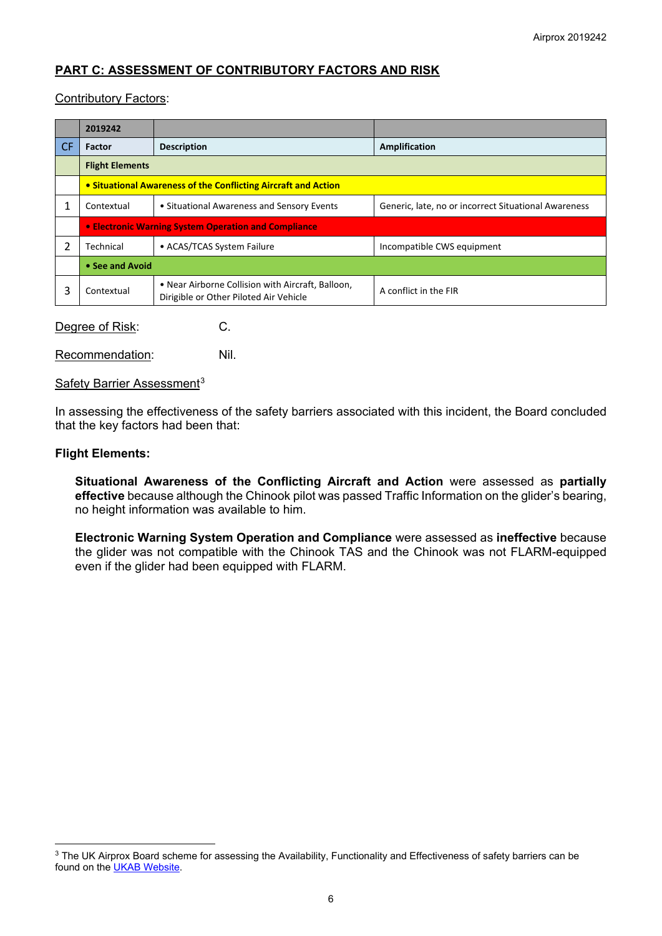# **PART C: ASSESSMENT OF CONTRIBUTORY FACTORS AND RISK**

#### Contributory Factors:

| <b>Factor</b>                                                  | <b>Description</b>                                                                          | Amplification                                        |  |  |  |
|----------------------------------------------------------------|---------------------------------------------------------------------------------------------|------------------------------------------------------|--|--|--|
|                                                                |                                                                                             |                                                      |  |  |  |
| <b>Flight Elements</b>                                         |                                                                                             |                                                      |  |  |  |
| • Situational Awareness of the Conflicting Aircraft and Action |                                                                                             |                                                      |  |  |  |
| Contextual                                                     | • Situational Awareness and Sensory Events                                                  | Generic, late, no or incorrect Situational Awareness |  |  |  |
| • Electronic Warning System Operation and Compliance           |                                                                                             |                                                      |  |  |  |
| Technical                                                      | • ACAS/TCAS System Failure                                                                  | Incompatible CWS equipment                           |  |  |  |
| • See and Avoid                                                |                                                                                             |                                                      |  |  |  |
| Contextual                                                     | • Near Airborne Collision with Aircraft, Balloon,<br>Dirigible or Other Piloted Air Vehicle | A conflict in the FIR                                |  |  |  |
|                                                                |                                                                                             |                                                      |  |  |  |

Degree of Risk: C.

Recommendation: Nil.

Safety Barrier Assessment<sup>[3](#page-5-0)</sup>

In assessing the effectiveness of the safety barriers associated with this incident, the Board concluded that the key factors had been that:

#### **Flight Elements:**

 $\overline{\phantom{a}}$ 

**Situational Awareness of the Conflicting Aircraft and Action** were assessed as **partially effective** because although the Chinook pilot was passed Traffic Information on the glider's bearing, no height information was available to him.

**Electronic Warning System Operation and Compliance** were assessed as **ineffective** because the glider was not compatible with the Chinook TAS and the Chinook was not FLARM-equipped even if the glider had been equipped with FLARM.

<span id="page-5-0"></span><sup>&</sup>lt;sup>3</sup> The UK Airprox Board scheme for assessing the Availability, Functionality and Effectiveness of safety barriers can be found on the **UKAB Website**.